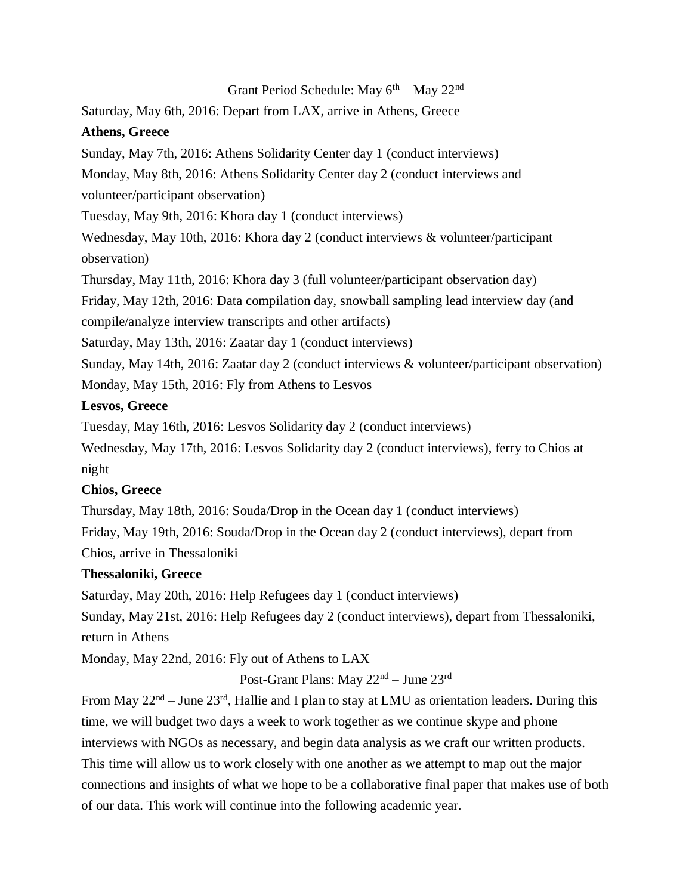### Grant Period Schedule: May  $6<sup>th</sup> -$  May  $22<sup>nd</sup>$

Saturday, May 6th, 2016: Depart from LAX, arrive in Athens, Greece

## **Athens, Greece**

Sunday, May 7th, 2016: Athens Solidarity Center day 1 (conduct interviews)

Monday, May 8th, 2016: Athens Solidarity Center day 2 (conduct interviews and

volunteer/participant observation)

Tuesday, May 9th, 2016: Khora day 1 (conduct interviews)

Wednesday, May 10th, 2016: Khora day 2 (conduct interviews & volunteer/participant observation)

Thursday, May 11th, 2016: Khora day 3 (full volunteer/participant observation day)

Friday, May 12th, 2016: Data compilation day, snowball sampling lead interview day (and compile/analyze interview transcripts and other artifacts)

Saturday, May 13th, 2016: Zaatar day 1 (conduct interviews)

Sunday, May 14th, 2016: Zaatar day 2 (conduct interviews & volunteer/participant observation) Monday, May 15th, 2016: Fly from Athens to Lesvos

# **Lesvos, Greece**

Tuesday, May 16th, 2016: Lesvos Solidarity day 2 (conduct interviews)

Wednesday, May 17th, 2016: Lesvos Solidarity day 2 (conduct interviews), ferry to Chios at night

# **Chios, Greece**

Thursday, May 18th, 2016: Souda/Drop in the Ocean day 1 (conduct interviews) Friday, May 19th, 2016: Souda/Drop in the Ocean day 2 (conduct interviews), depart from Chios, arrive in Thessaloniki

# **Thessaloniki, Greece**

Saturday, May 20th, 2016: Help Refugees day 1 (conduct interviews)

Sunday, May 21st, 2016: Help Refugees day 2 (conduct interviews), depart from Thessaloniki, return in Athens

Monday, May 22nd, 2016: Fly out of Athens to LAX

Post-Grant Plans: May 22nd – June 23rd

From May  $22<sup>nd</sup> - June 23<sup>rd</sup>$ , Hallie and I plan to stay at LMU as orientation leaders. During this time, we will budget two days a week to work together as we continue skype and phone interviews with NGOs as necessary, and begin data analysis as we craft our written products. This time will allow us to work closely with one another as we attempt to map out the major connections and insights of what we hope to be a collaborative final paper that makes use of both of our data. This work will continue into the following academic year.